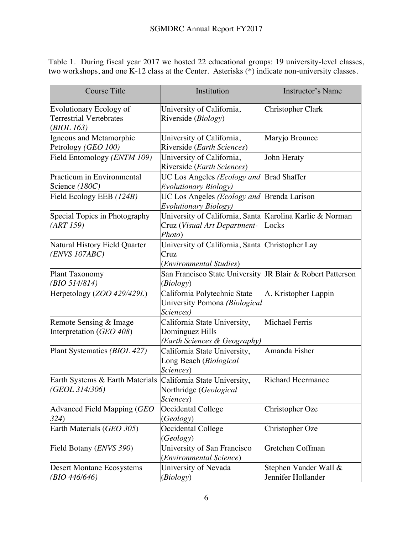Table 1.During fiscal year 2017 we hosted 22 educational groups: 19 university-level classes, two workshops, and one K-12 class at the Center. Asterisks (\*) indicate non-university classes.

| <b>Course Title</b>                                                            | Institution                                                                                        | <b>Instructor's Name</b>                    |
|--------------------------------------------------------------------------------|----------------------------------------------------------------------------------------------------|---------------------------------------------|
| <b>Evolutionary Ecology of</b><br><b>Terrestrial Vertebrates</b><br>(BIOL 163) | University of California,<br>Riverside (Biology)                                                   | <b>Christopher Clark</b>                    |
| Igneous and Metamorphic<br>Petrology (GEO 100)                                 | University of California,<br>Riverside (Earth Sciences)                                            | Maryjo Brounce                              |
| Field Entomology (ENTM 109)                                                    | University of California,<br>Riverside (Earth Sciences)                                            | John Heraty                                 |
| Practicum in Environmental<br>Science (180C)                                   | UC Los Angeles (Ecology and<br><b>Evolutionary Biology</b> )                                       | <b>Brad Shaffer</b>                         |
| Field Ecology EEB (124B)                                                       | UC Los Angeles (Ecology and<br><b>Evolutionary Biology</b> )                                       | <b>Brenda Larison</b>                       |
| Special Topics in Photography<br>(ART 159)                                     | University of California, Santa Karolina Karlic & Norman<br>Cruz (Visual Art Department-<br>Photo) | Locks                                       |
| Natural History Field Quarter<br>(ENVS 107ABC)                                 | University of California, Santa Christopher Lay<br>Cruz<br>(Environmental Studies)                 |                                             |
| Plant Taxonomy<br>(BIO 514/814)                                                | San Francisco State University JR Blair & Robert Patterson<br>(Biology)                            |                                             |
| Herpetology (ZOO 429/429L)                                                     | California Polytechnic State<br>University Pomona (Biological<br>Sciences)                         | A. Kristopher Lappin                        |
| Remote Sensing & Image<br>Interpretation (GEO 408)                             | California State University,<br>Dominguez Hills<br>(Earth Sciences & Geography)                    | Michael Ferris                              |
| Plant Systematics (BIOL 427)                                                   | California State University,<br>Long Beach (Biological<br>Sciences)                                | Amanda Fisher                               |
| Earth Systems & Earth Materials<br>(GEOL 314/306)                              | California State University,<br>Northridge (Geological<br><i>Sciences</i> )                        | <b>Richard Heermance</b>                    |
| Advanced Field Mapping (GEO<br>324)                                            | Occidental College<br>(Geology)                                                                    | Christopher Oze                             |
| Earth Materials (GEO 305)                                                      | Occidental College<br>(Geology)                                                                    | Christopher Oze                             |
| Field Botany ( <i>ENVS</i> 390)                                                | University of San Francisco<br>(Environmental Science)                                             | Gretchen Coffman                            |
| <b>Desert Montane Ecosystems</b><br>(BIO 446/646)                              | University of Nevada<br>(Biology)                                                                  | Stephen Vander Wall &<br>Jennifer Hollander |